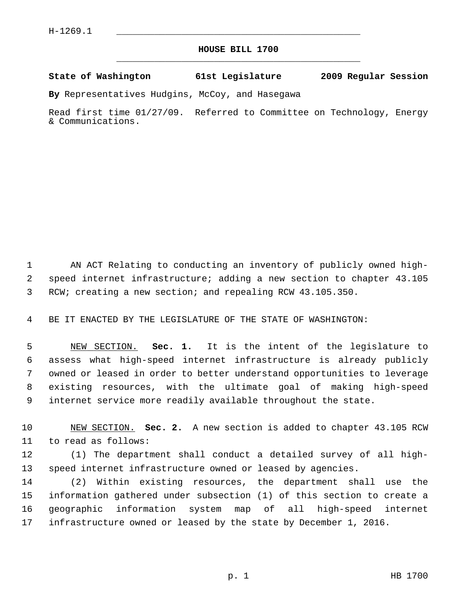## **HOUSE BILL 1700** \_\_\_\_\_\_\_\_\_\_\_\_\_\_\_\_\_\_\_\_\_\_\_\_\_\_\_\_\_\_\_\_\_\_\_\_\_\_\_\_\_\_\_\_\_

**State of Washington 61st Legislature 2009 Regular Session**

**By** Representatives Hudgins, McCoy, and Hasegawa

Read first time 01/27/09. Referred to Committee on Technology, Energy & Communications.

 1 AN ACT Relating to conducting an inventory of publicly owned high- 2 speed internet infrastructure; adding a new section to chapter 43.105 3 RCW; creating a new section; and repealing RCW 43.105.350.

4 BE IT ENACTED BY THE LEGISLATURE OF THE STATE OF WASHINGTON:

 5 NEW SECTION. **Sec. 1.** It is the intent of the legislature to 6 assess what high-speed internet infrastructure is already publicly 7 owned or leased in order to better understand opportunities to leverage 8 existing resources, with the ultimate goal of making high-speed 9 internet service more readily available throughout the state.

10 NEW SECTION. **Sec. 2.** A new section is added to chapter 43.105 RCW 11 to read as follows:

12 (1) The department shall conduct a detailed survey of all high-13 speed internet infrastructure owned or leased by agencies.

14 (2) Within existing resources, the department shall use the 15 information gathered under subsection (1) of this section to create a 16 geographic information system map of all high-speed internet 17 infrastructure owned or leased by the state by December 1, 2016.